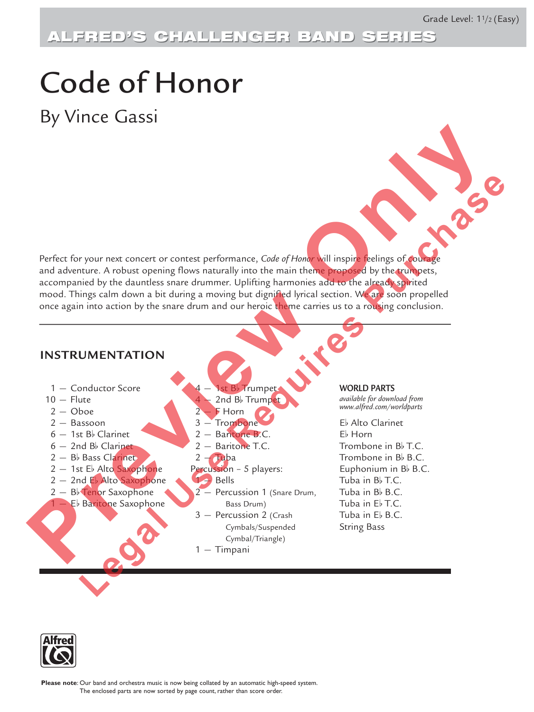## Alfred's ch Alfred's chaallenger b llenger baand series nd series

## Code of Honor

By Vince Gassi

Perfect for your next concert or contest performance, *Code of Honor* will inspire feelings of courage and adventure. A robust opening flows naturally into the main theme proposed by the trumpets, accompanied by the dauntless snare drummer. Uplifting harmonies add to the already spirited mood. Things calm down a bit during a moving but dignified lyrical section. We are soon propelled once again into action by the snare drum and our heroic theme carries us to a rousing conclusion. Perfect for your next concert or concest performance, Code of Home<br>and adventures, Andreu Concest performance, Code of Home<br>and Things can be a comparison of the daunites and entropy a month studies have the street perfect **Legal Use Controlling Controlling Controlling Controlling Controlling Controlling Controlling Controlling Controlling Controlling Controlling Controlling Controlling Controlling Controlling Controlling Controlling Control** 

## **INSTRUMENTATION**

- 1 Conductor Score
- $10 -$ Flute
- $2 -$  Oboe
- 2 Bassoon
- $6 1$ st B<sub>b</sub> Clarinet
- $6 2$ nd B<sub>b</sub> Clarinet
- $2 B$ <sub>b</sub> Bass Clarinet
- 2 1st Eb Alto Saxophone
- 2 2nd Eb Alto Saxophone
- 2 Bb Tenor Saxophone
- 1 Eb Baritone Saxophone
- st B<sub>b</sub> Trumpet 2nd B<sub>b</sub> Trumpet
- 2 F Horn
- 3 Trombone
- 2 Baritone B.C.
- 2 Baritone T.C.
- $2 -$ Tuba
- Percussion 5 players:
- 1 Bells
- 2 Percussion 1 (Snare Drum, Bass Drum)
- 3 Percussion 2 (Crash Cymbals/Suspended Cymbal/Triangle)
- 1 Timpani

**WORLD PARTS**

*available for download from www.alfred.com/worldparts*

Eb Alto Clarinet Eb Horn Trombone in Bb T.C. Trombone in B<sub>b</sub> B.C. Euphonium in B<sub>b</sub> B.C. Tuba in Bb T.C. Tuba in  $B<sub>b</sub> B.C.$ Tuba in  $F_b$  T.C. Tuba in Eb B.C. String Bass

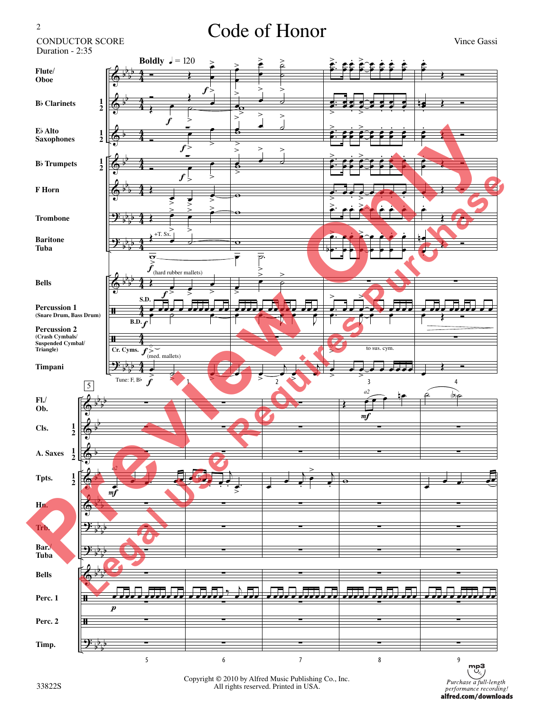## Code of Honor

Vince Gassi

Duration - 2:35 CONDUCTOR SCORE



Copyright © 2010 by Alfred Music Publishing Co., Inc. All rights reserved. Printed in USA.

 $\begin{pmatrix} \mathbf{u}_1 \\ \mathbf{v}_2 \end{pmatrix}$ Purchase a full-length<br>!performance recording alfred.com/downloads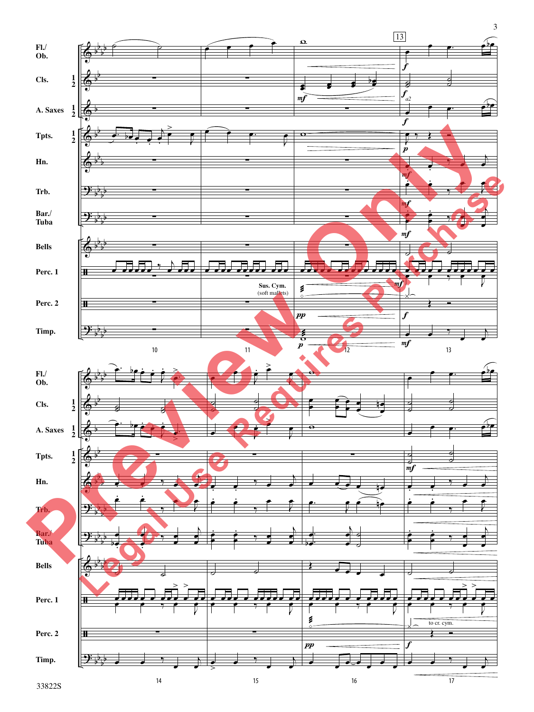

3

33822S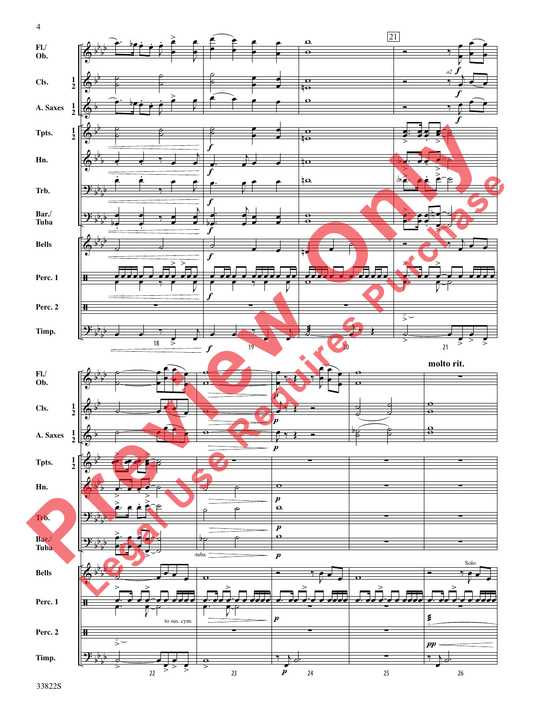

33822S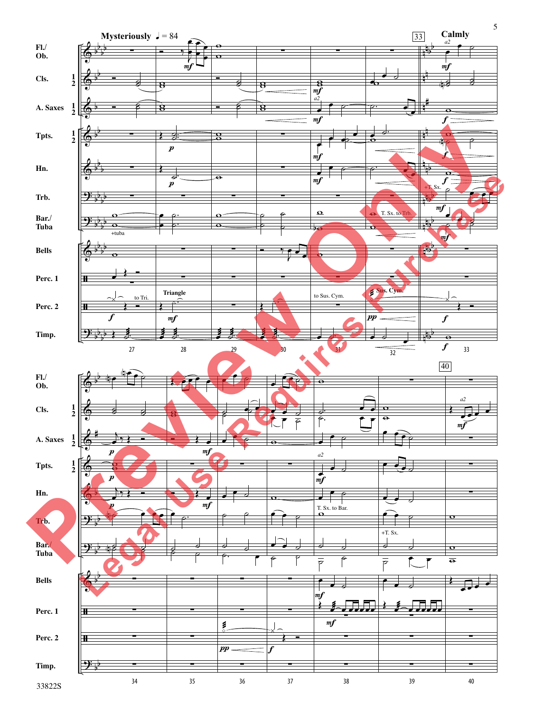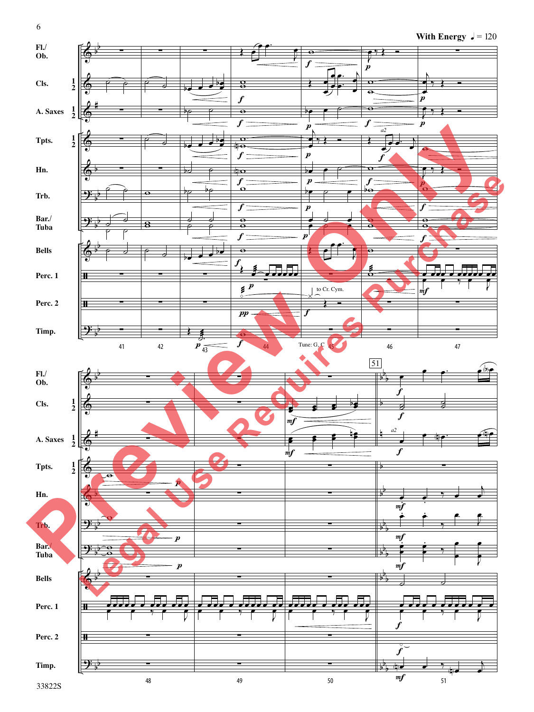

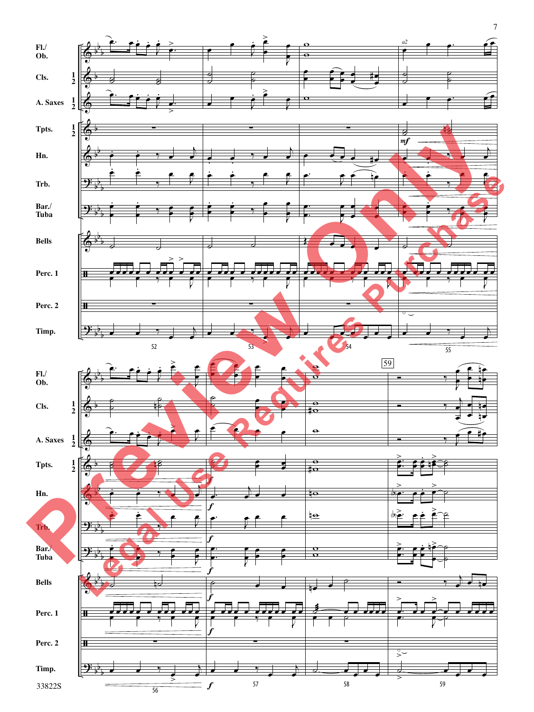

7